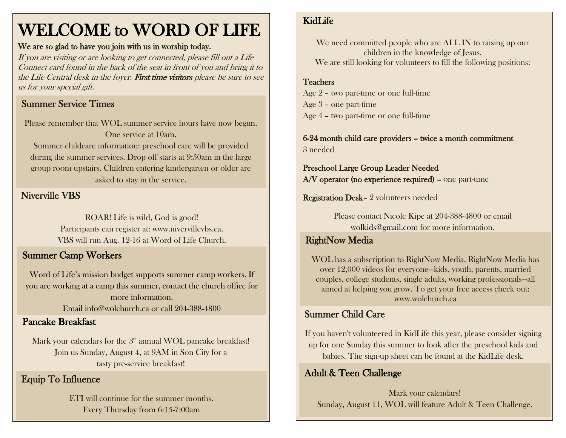# WELCOME to WORD OF LIFE

#### We are so glad to have you join with us in worship today.

If you are visiting or are looking to get connected, please fill out a Life Connect card found in the back of the seat in front of you and bring it to the Life Central desk in the foyer. First time visitors please be sure to see us for your special gift.

# Summer Service Times

Please remember that WOL summer service hours have now begun. One service at 10am. Summer childcare information: preschool care will be provided during the summer services. Drop off starts at 9:50am in the large group room upstairs. Children entering kindergarten or older are asked to stay in the service.

#### Niverville VBS

ROAR! Life is wild, God is good! Participants can register at: www.nivervillevbs.ca. VBS will run Aug. 12-16 at Word of Life Church.

# Summer Camp Workers

Word of Life's mission budget supports summer camp workers. If you are working at a camp this summer, contact the church office for more information.

Email [info@wolchurch.ca](mailto:info@wolchurch.ca) or call 204-388-4800

#### Pancake Breakfast

Mark your calendars for the  $3<sup>rd</sup>$  annual WOL pancake breakfast! Join us Sunday, August 4, at 9AM in Son City for a tasty pre-service breakfast!

### Equip To Influence

ETI will continue for the summer months. Every Thursday from 6:15-7:00am

### KidLife

We need committed people who are ALL IN to raising up our children in the knowledge of Jesus. We are still looking for volunteers to fill the following positions:

# Teachers

 Age 2 – two part-time or one full-time Age 3 – one part-time Age 4 – two part-time or one full-time

6-24 month child care providers – twice a month commitment 3 needed

Preschool Large Group Leader Needed A/V operator (no experience required) – one part-time

Registration Desk– 2 volunteers needed

Please contact Nicole Kipe at 204-388-4800 or email [wolkids@gmail.com](mailto:wolkids@gmail.com) for more information.

#### RightNow Media

WOL has a subscription to RightNow Media. RightNow Media has over 12,000 videos for everyone—kids, youth, parents, married couples, college students, single adults, working professionals—all aimed at helping you grow. To get your free access check out: www.wolchurch.ca

### Summer Child Care

If you haven't volunteered in KidLife this year, please consider signing up for one Sunday this summer to look after the preschool kids and babies. The sign-up sheet can be found at the KidLife desk.

# Adult & Teen Challenge

Mark your calendars! Sunday, August 11, WOL will feature Adult & Teen Challenge.